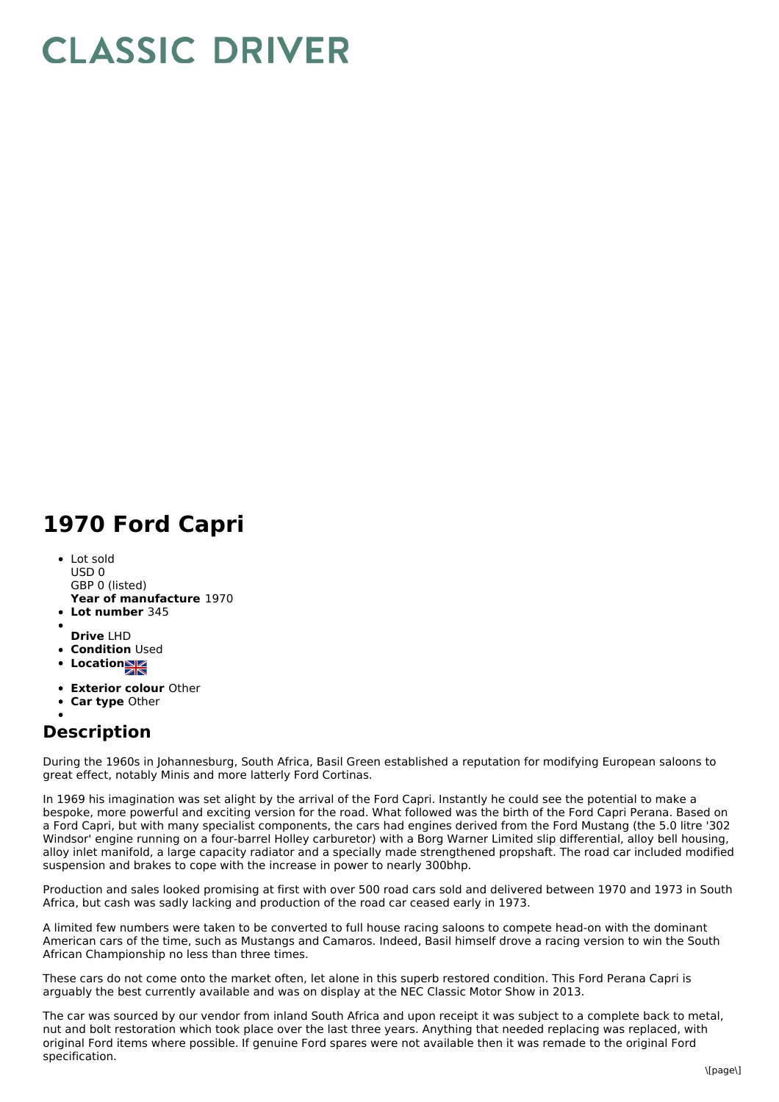## **CLASSIC DRIVER**

## **1970 Ford Capri**

- **Year of manufacture** 1970 **Lot number** 345 Lot sold  $USD0$ GBP 0 (listed)
- 
- **Drive** LHD
- **Condition Used**
- **Location**
- **Exterior colour** Other
- **Car type** Other
- 

## **Description**

During the 1960s in Johannesburg, South Africa, Basil Green established a reputation for modifying European saloons to great effect, notably Minis and more latterly Ford Cortinas.

In 1969 his imagination was set alight by the arrival of the Ford Capri. Instantly he could see the potential to make a bespoke, more powerful and exciting version for the road. What followed was the birth of the Ford Capri Perana. Based on a Ford Capri, but with many specialist components, the cars had engines derived from the Ford Mustang (the 5.0 litre '302 Windsor' engine running on a four-barrel Holley carburetor) with a Borg Warner Limited slip differential, alloy bell housing, alloy inlet manifold, a large capacity radiator and a specially made strengthened propshaft. The road car included modified suspension and brakes to cope with the increase in power to nearly 300bhp.

Production and sales looked promising at first with over 500 road cars sold and delivered between 1970 and 1973 in South Africa, but cash was sadly lacking and production of the road car ceased early in 1973.

A limited few numbers were taken to be converted to full house racing saloons to compete head-on with the dominant American cars of the time, such as Mustangs and Camaros. Indeed, Basil himself drove a racing version to win the South African Championship no less than three times.

These cars do not come onto the market often, let alone in this superb restored condition. This Ford Perana Capri is arguably the best currently available and was on display at the NEC Classic Motor Show in 2013.

The car was sourced by our vendor from inland South Africa and upon receipt it was subject to a complete back to metal, nut and bolt restoration which took place over the last three years. Anything that needed replacing was replaced, with original Ford items where possible. If genuine Ford spares were not available then it was remade to the original Ford specification.